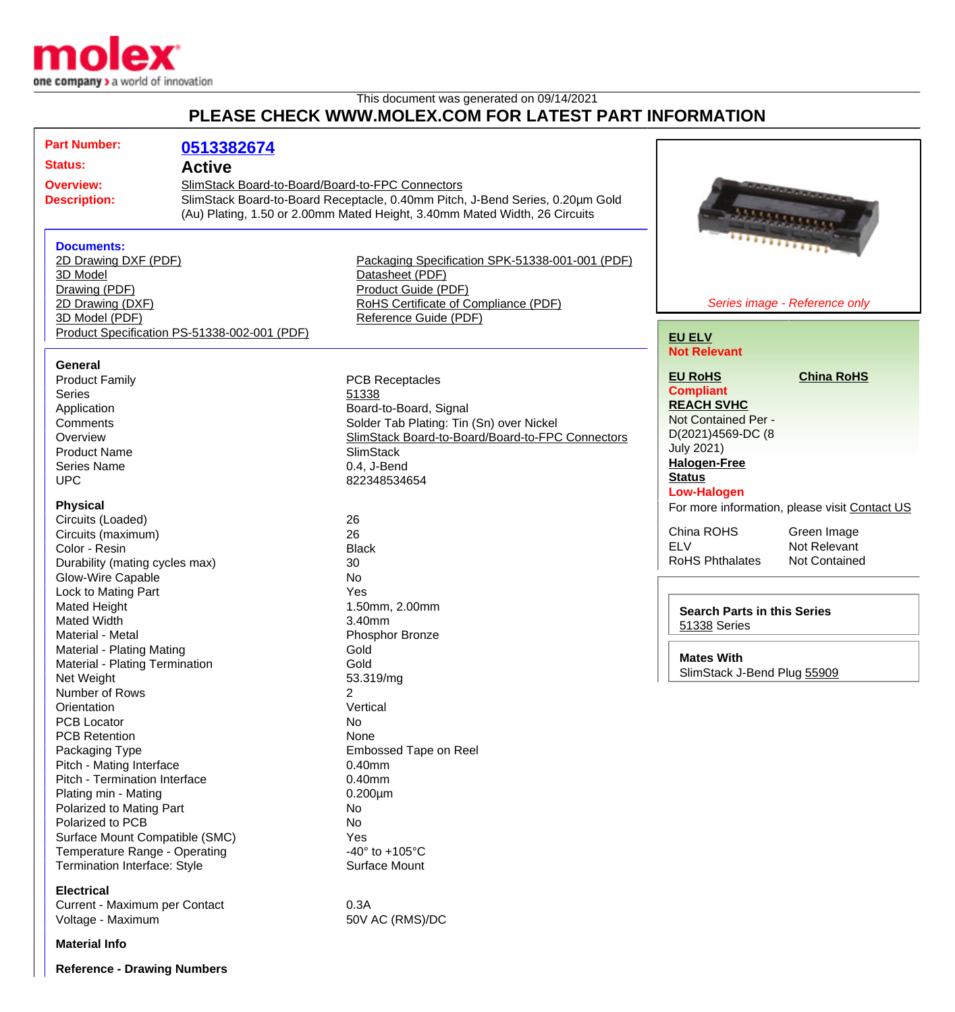

## This document was generated on 09/14/2021 **PLEASE CHECK WWW.MOLEX.COM FOR LATEST PART INFORMATION**

| <b>Part Number:</b><br>0513382674<br><b>Status:</b><br><b>Active</b><br>SlimStack Board-to-Board/Board-to-FPC Connectors<br><b>Overview:</b><br><b><i>CONSTRUCTION</i></b><br>SlimStack Board-to-Board Receptacle, 0.40mm Pitch, J-Bend Series, 0.20µm Gold<br><b>Description:</b><br>(Au) Plating, 1.50 or 2.00mm Mated Height, 3.40mm Mated Width, 26 Circuits<br>$\frac{1}{1}$<br><b>Documents:</b><br>2D Drawing DXF (PDF)<br>Packaging Specification SPK-51338-001-001 (PDF)<br>3D Model<br>Datasheet (PDF)<br>Product Guide (PDF)<br>Drawing (PDF)<br>2D Drawing (DXF)<br>RoHS Certificate of Compliance (PDF)<br>Series image - Reference only<br>3D Model (PDF)<br>Reference Guide (PDF)<br>Product Specification PS-51338-002-001 (PDF)<br><b>EU ELV</b><br><b>Not Relevant</b><br>General<br><b>EU RoHS</b><br><b>China RoHS</b><br><b>Product Family</b><br><b>PCB Receptacles</b><br><b>Compliant</b><br><b>Series</b><br>51338<br><b>REACH SVHC</b><br>Board-to-Board, Signal<br>Application<br>Not Contained Per -<br>Solder Tab Plating: Tin (Sn) over Nickel<br>Comments<br>D(2021)4569-DC (8<br>SlimStack Board-to-Board/Board-to-FPC Connectors<br>Overview<br><b>July 2021)</b><br><b>SlimStack</b><br><b>Product Name</b><br><b>Halogen-Free</b><br><b>Series Name</b><br>0.4, J-Bend<br><b>Status</b><br><b>UPC</b><br>822348534654<br><b>Low-Halogen</b><br><b>Physical</b><br>For more information, please visit Contact US<br>Circuits (Loaded)<br>26<br>China ROHS<br>Green Image<br>26<br>Circuits (maximum)<br><b>ELV</b><br>Not Relevant<br>Color - Resin<br><b>Black</b><br><b>RoHS Phthalates</b><br>Not Contained<br>Durability (mating cycles max)<br>30<br>Glow-Wire Capable<br><b>No</b><br>Lock to Mating Part<br>Yes<br>Mated Height<br>1.50mm, 2.00mm<br><b>Search Parts in this Series</b><br><b>Mated Width</b><br>3.40mm<br>51338 Series<br>Material - Metal<br>Phosphor Bronze<br>Material - Plating Mating<br>Gold<br><b>Mates With</b><br>Material - Plating Termination<br>Gold<br>SlimStack J-Bend Plug 55909<br>53.319/mg<br>Net Weight<br>Number of Rows<br>$\overline{2}$<br>Orientation<br>Vertical<br><b>PCB Locator</b><br>No<br><b>PCB Retention</b><br>None<br>Packaging Type<br>Embossed Tape on Reel<br>Pitch - Mating Interface<br>$0.40$ mm<br>Pitch - Termination Interface<br>0.40mm<br>Plating min - Mating<br>$0.200 \mu m$<br>Polarized to Mating Part<br>No<br>Polarized to PCB<br>No<br>Surface Mount Compatible (SMC)<br>Yes<br>Temperature Range - Operating<br>-40 $\degree$ to +105 $\degree$ C<br>Termination Interface: Style<br>Surface Mount<br><b>Electrical</b><br>Current - Maximum per Contact<br>0.3A<br>50V AC (RMS)/DC<br>Voltage - Maximum |  |  |  |
|----------------------------------------------------------------------------------------------------------------------------------------------------------------------------------------------------------------------------------------------------------------------------------------------------------------------------------------------------------------------------------------------------------------------------------------------------------------------------------------------------------------------------------------------------------------------------------------------------------------------------------------------------------------------------------------------------------------------------------------------------------------------------------------------------------------------------------------------------------------------------------------------------------------------------------------------------------------------------------------------------------------------------------------------------------------------------------------------------------------------------------------------------------------------------------------------------------------------------------------------------------------------------------------------------------------------------------------------------------------------------------------------------------------------------------------------------------------------------------------------------------------------------------------------------------------------------------------------------------------------------------------------------------------------------------------------------------------------------------------------------------------------------------------------------------------------------------------------------------------------------------------------------------------------------------------------------------------------------------------------------------------------------------------------------------------------------------------------------------------------------------------------------------------------------------------------------------------------------------------------------------------------------------------------------------------------------------------------------------------------------------------------------------------------------------------------------------------------------------------------------------------------------------------------------------------------------------------------------------------------------------------------------------------------------------------------------------------------------|--|--|--|
|                                                                                                                                                                                                                                                                                                                                                                                                                                                                                                                                                                                                                                                                                                                                                                                                                                                                                                                                                                                                                                                                                                                                                                                                                                                                                                                                                                                                                                                                                                                                                                                                                                                                                                                                                                                                                                                                                                                                                                                                                                                                                                                                                                                                                                                                                                                                                                                                                                                                                                                                                                                                                                                                                                                            |  |  |  |
|                                                                                                                                                                                                                                                                                                                                                                                                                                                                                                                                                                                                                                                                                                                                                                                                                                                                                                                                                                                                                                                                                                                                                                                                                                                                                                                                                                                                                                                                                                                                                                                                                                                                                                                                                                                                                                                                                                                                                                                                                                                                                                                                                                                                                                                                                                                                                                                                                                                                                                                                                                                                                                                                                                                            |  |  |  |
|                                                                                                                                                                                                                                                                                                                                                                                                                                                                                                                                                                                                                                                                                                                                                                                                                                                                                                                                                                                                                                                                                                                                                                                                                                                                                                                                                                                                                                                                                                                                                                                                                                                                                                                                                                                                                                                                                                                                                                                                                                                                                                                                                                                                                                                                                                                                                                                                                                                                                                                                                                                                                                                                                                                            |  |  |  |
|                                                                                                                                                                                                                                                                                                                                                                                                                                                                                                                                                                                                                                                                                                                                                                                                                                                                                                                                                                                                                                                                                                                                                                                                                                                                                                                                                                                                                                                                                                                                                                                                                                                                                                                                                                                                                                                                                                                                                                                                                                                                                                                                                                                                                                                                                                                                                                                                                                                                                                                                                                                                                                                                                                                            |  |  |  |
|                                                                                                                                                                                                                                                                                                                                                                                                                                                                                                                                                                                                                                                                                                                                                                                                                                                                                                                                                                                                                                                                                                                                                                                                                                                                                                                                                                                                                                                                                                                                                                                                                                                                                                                                                                                                                                                                                                                                                                                                                                                                                                                                                                                                                                                                                                                                                                                                                                                                                                                                                                                                                                                                                                                            |  |  |  |
|                                                                                                                                                                                                                                                                                                                                                                                                                                                                                                                                                                                                                                                                                                                                                                                                                                                                                                                                                                                                                                                                                                                                                                                                                                                                                                                                                                                                                                                                                                                                                                                                                                                                                                                                                                                                                                                                                                                                                                                                                                                                                                                                                                                                                                                                                                                                                                                                                                                                                                                                                                                                                                                                                                                            |  |  |  |
|                                                                                                                                                                                                                                                                                                                                                                                                                                                                                                                                                                                                                                                                                                                                                                                                                                                                                                                                                                                                                                                                                                                                                                                                                                                                                                                                                                                                                                                                                                                                                                                                                                                                                                                                                                                                                                                                                                                                                                                                                                                                                                                                                                                                                                                                                                                                                                                                                                                                                                                                                                                                                                                                                                                            |  |  |  |
|                                                                                                                                                                                                                                                                                                                                                                                                                                                                                                                                                                                                                                                                                                                                                                                                                                                                                                                                                                                                                                                                                                                                                                                                                                                                                                                                                                                                                                                                                                                                                                                                                                                                                                                                                                                                                                                                                                                                                                                                                                                                                                                                                                                                                                                                                                                                                                                                                                                                                                                                                                                                                                                                                                                            |  |  |  |
|                                                                                                                                                                                                                                                                                                                                                                                                                                                                                                                                                                                                                                                                                                                                                                                                                                                                                                                                                                                                                                                                                                                                                                                                                                                                                                                                                                                                                                                                                                                                                                                                                                                                                                                                                                                                                                                                                                                                                                                                                                                                                                                                                                                                                                                                                                                                                                                                                                                                                                                                                                                                                                                                                                                            |  |  |  |
|                                                                                                                                                                                                                                                                                                                                                                                                                                                                                                                                                                                                                                                                                                                                                                                                                                                                                                                                                                                                                                                                                                                                                                                                                                                                                                                                                                                                                                                                                                                                                                                                                                                                                                                                                                                                                                                                                                                                                                                                                                                                                                                                                                                                                                                                                                                                                                                                                                                                                                                                                                                                                                                                                                                            |  |  |  |
|                                                                                                                                                                                                                                                                                                                                                                                                                                                                                                                                                                                                                                                                                                                                                                                                                                                                                                                                                                                                                                                                                                                                                                                                                                                                                                                                                                                                                                                                                                                                                                                                                                                                                                                                                                                                                                                                                                                                                                                                                                                                                                                                                                                                                                                                                                                                                                                                                                                                                                                                                                                                                                                                                                                            |  |  |  |
|                                                                                                                                                                                                                                                                                                                                                                                                                                                                                                                                                                                                                                                                                                                                                                                                                                                                                                                                                                                                                                                                                                                                                                                                                                                                                                                                                                                                                                                                                                                                                                                                                                                                                                                                                                                                                                                                                                                                                                                                                                                                                                                                                                                                                                                                                                                                                                                                                                                                                                                                                                                                                                                                                                                            |  |  |  |
|                                                                                                                                                                                                                                                                                                                                                                                                                                                                                                                                                                                                                                                                                                                                                                                                                                                                                                                                                                                                                                                                                                                                                                                                                                                                                                                                                                                                                                                                                                                                                                                                                                                                                                                                                                                                                                                                                                                                                                                                                                                                                                                                                                                                                                                                                                                                                                                                                                                                                                                                                                                                                                                                                                                            |  |  |  |
|                                                                                                                                                                                                                                                                                                                                                                                                                                                                                                                                                                                                                                                                                                                                                                                                                                                                                                                                                                                                                                                                                                                                                                                                                                                                                                                                                                                                                                                                                                                                                                                                                                                                                                                                                                                                                                                                                                                                                                                                                                                                                                                                                                                                                                                                                                                                                                                                                                                                                                                                                                                                                                                                                                                            |  |  |  |
|                                                                                                                                                                                                                                                                                                                                                                                                                                                                                                                                                                                                                                                                                                                                                                                                                                                                                                                                                                                                                                                                                                                                                                                                                                                                                                                                                                                                                                                                                                                                                                                                                                                                                                                                                                                                                                                                                                                                                                                                                                                                                                                                                                                                                                                                                                                                                                                                                                                                                                                                                                                                                                                                                                                            |  |  |  |
|                                                                                                                                                                                                                                                                                                                                                                                                                                                                                                                                                                                                                                                                                                                                                                                                                                                                                                                                                                                                                                                                                                                                                                                                                                                                                                                                                                                                                                                                                                                                                                                                                                                                                                                                                                                                                                                                                                                                                                                                                                                                                                                                                                                                                                                                                                                                                                                                                                                                                                                                                                                                                                                                                                                            |  |  |  |
|                                                                                                                                                                                                                                                                                                                                                                                                                                                                                                                                                                                                                                                                                                                                                                                                                                                                                                                                                                                                                                                                                                                                                                                                                                                                                                                                                                                                                                                                                                                                                                                                                                                                                                                                                                                                                                                                                                                                                                                                                                                                                                                                                                                                                                                                                                                                                                                                                                                                                                                                                                                                                                                                                                                            |  |  |  |
|                                                                                                                                                                                                                                                                                                                                                                                                                                                                                                                                                                                                                                                                                                                                                                                                                                                                                                                                                                                                                                                                                                                                                                                                                                                                                                                                                                                                                                                                                                                                                                                                                                                                                                                                                                                                                                                                                                                                                                                                                                                                                                                                                                                                                                                                                                                                                                                                                                                                                                                                                                                                                                                                                                                            |  |  |  |
|                                                                                                                                                                                                                                                                                                                                                                                                                                                                                                                                                                                                                                                                                                                                                                                                                                                                                                                                                                                                                                                                                                                                                                                                                                                                                                                                                                                                                                                                                                                                                                                                                                                                                                                                                                                                                                                                                                                                                                                                                                                                                                                                                                                                                                                                                                                                                                                                                                                                                                                                                                                                                                                                                                                            |  |  |  |
|                                                                                                                                                                                                                                                                                                                                                                                                                                                                                                                                                                                                                                                                                                                                                                                                                                                                                                                                                                                                                                                                                                                                                                                                                                                                                                                                                                                                                                                                                                                                                                                                                                                                                                                                                                                                                                                                                                                                                                                                                                                                                                                                                                                                                                                                                                                                                                                                                                                                                                                                                                                                                                                                                                                            |  |  |  |
|                                                                                                                                                                                                                                                                                                                                                                                                                                                                                                                                                                                                                                                                                                                                                                                                                                                                                                                                                                                                                                                                                                                                                                                                                                                                                                                                                                                                                                                                                                                                                                                                                                                                                                                                                                                                                                                                                                                                                                                                                                                                                                                                                                                                                                                                                                                                                                                                                                                                                                                                                                                                                                                                                                                            |  |  |  |
|                                                                                                                                                                                                                                                                                                                                                                                                                                                                                                                                                                                                                                                                                                                                                                                                                                                                                                                                                                                                                                                                                                                                                                                                                                                                                                                                                                                                                                                                                                                                                                                                                                                                                                                                                                                                                                                                                                                                                                                                                                                                                                                                                                                                                                                                                                                                                                                                                                                                                                                                                                                                                                                                                                                            |  |  |  |
|                                                                                                                                                                                                                                                                                                                                                                                                                                                                                                                                                                                                                                                                                                                                                                                                                                                                                                                                                                                                                                                                                                                                                                                                                                                                                                                                                                                                                                                                                                                                                                                                                                                                                                                                                                                                                                                                                                                                                                                                                                                                                                                                                                                                                                                                                                                                                                                                                                                                                                                                                                                                                                                                                                                            |  |  |  |
|                                                                                                                                                                                                                                                                                                                                                                                                                                                                                                                                                                                                                                                                                                                                                                                                                                                                                                                                                                                                                                                                                                                                                                                                                                                                                                                                                                                                                                                                                                                                                                                                                                                                                                                                                                                                                                                                                                                                                                                                                                                                                                                                                                                                                                                                                                                                                                                                                                                                                                                                                                                                                                                                                                                            |  |  |  |
|                                                                                                                                                                                                                                                                                                                                                                                                                                                                                                                                                                                                                                                                                                                                                                                                                                                                                                                                                                                                                                                                                                                                                                                                                                                                                                                                                                                                                                                                                                                                                                                                                                                                                                                                                                                                                                                                                                                                                                                                                                                                                                                                                                                                                                                                                                                                                                                                                                                                                                                                                                                                                                                                                                                            |  |  |  |
|                                                                                                                                                                                                                                                                                                                                                                                                                                                                                                                                                                                                                                                                                                                                                                                                                                                                                                                                                                                                                                                                                                                                                                                                                                                                                                                                                                                                                                                                                                                                                                                                                                                                                                                                                                                                                                                                                                                                                                                                                                                                                                                                                                                                                                                                                                                                                                                                                                                                                                                                                                                                                                                                                                                            |  |  |  |
|                                                                                                                                                                                                                                                                                                                                                                                                                                                                                                                                                                                                                                                                                                                                                                                                                                                                                                                                                                                                                                                                                                                                                                                                                                                                                                                                                                                                                                                                                                                                                                                                                                                                                                                                                                                                                                                                                                                                                                                                                                                                                                                                                                                                                                                                                                                                                                                                                                                                                                                                                                                                                                                                                                                            |  |  |  |
|                                                                                                                                                                                                                                                                                                                                                                                                                                                                                                                                                                                                                                                                                                                                                                                                                                                                                                                                                                                                                                                                                                                                                                                                                                                                                                                                                                                                                                                                                                                                                                                                                                                                                                                                                                                                                                                                                                                                                                                                                                                                                                                                                                                                                                                                                                                                                                                                                                                                                                                                                                                                                                                                                                                            |  |  |  |
|                                                                                                                                                                                                                                                                                                                                                                                                                                                                                                                                                                                                                                                                                                                                                                                                                                                                                                                                                                                                                                                                                                                                                                                                                                                                                                                                                                                                                                                                                                                                                                                                                                                                                                                                                                                                                                                                                                                                                                                                                                                                                                                                                                                                                                                                                                                                                                                                                                                                                                                                                                                                                                                                                                                            |  |  |  |
|                                                                                                                                                                                                                                                                                                                                                                                                                                                                                                                                                                                                                                                                                                                                                                                                                                                                                                                                                                                                                                                                                                                                                                                                                                                                                                                                                                                                                                                                                                                                                                                                                                                                                                                                                                                                                                                                                                                                                                                                                                                                                                                                                                                                                                                                                                                                                                                                                                                                                                                                                                                                                                                                                                                            |  |  |  |
|                                                                                                                                                                                                                                                                                                                                                                                                                                                                                                                                                                                                                                                                                                                                                                                                                                                                                                                                                                                                                                                                                                                                                                                                                                                                                                                                                                                                                                                                                                                                                                                                                                                                                                                                                                                                                                                                                                                                                                                                                                                                                                                                                                                                                                                                                                                                                                                                                                                                                                                                                                                                                                                                                                                            |  |  |  |
|                                                                                                                                                                                                                                                                                                                                                                                                                                                                                                                                                                                                                                                                                                                                                                                                                                                                                                                                                                                                                                                                                                                                                                                                                                                                                                                                                                                                                                                                                                                                                                                                                                                                                                                                                                                                                                                                                                                                                                                                                                                                                                                                                                                                                                                                                                                                                                                                                                                                                                                                                                                                                                                                                                                            |  |  |  |
|                                                                                                                                                                                                                                                                                                                                                                                                                                                                                                                                                                                                                                                                                                                                                                                                                                                                                                                                                                                                                                                                                                                                                                                                                                                                                                                                                                                                                                                                                                                                                                                                                                                                                                                                                                                                                                                                                                                                                                                                                                                                                                                                                                                                                                                                                                                                                                                                                                                                                                                                                                                                                                                                                                                            |  |  |  |
|                                                                                                                                                                                                                                                                                                                                                                                                                                                                                                                                                                                                                                                                                                                                                                                                                                                                                                                                                                                                                                                                                                                                                                                                                                                                                                                                                                                                                                                                                                                                                                                                                                                                                                                                                                                                                                                                                                                                                                                                                                                                                                                                                                                                                                                                                                                                                                                                                                                                                                                                                                                                                                                                                                                            |  |  |  |
|                                                                                                                                                                                                                                                                                                                                                                                                                                                                                                                                                                                                                                                                                                                                                                                                                                                                                                                                                                                                                                                                                                                                                                                                                                                                                                                                                                                                                                                                                                                                                                                                                                                                                                                                                                                                                                                                                                                                                                                                                                                                                                                                                                                                                                                                                                                                                                                                                                                                                                                                                                                                                                                                                                                            |  |  |  |
|                                                                                                                                                                                                                                                                                                                                                                                                                                                                                                                                                                                                                                                                                                                                                                                                                                                                                                                                                                                                                                                                                                                                                                                                                                                                                                                                                                                                                                                                                                                                                                                                                                                                                                                                                                                                                                                                                                                                                                                                                                                                                                                                                                                                                                                                                                                                                                                                                                                                                                                                                                                                                                                                                                                            |  |  |  |
|                                                                                                                                                                                                                                                                                                                                                                                                                                                                                                                                                                                                                                                                                                                                                                                                                                                                                                                                                                                                                                                                                                                                                                                                                                                                                                                                                                                                                                                                                                                                                                                                                                                                                                                                                                                                                                                                                                                                                                                                                                                                                                                                                                                                                                                                                                                                                                                                                                                                                                                                                                                                                                                                                                                            |  |  |  |
|                                                                                                                                                                                                                                                                                                                                                                                                                                                                                                                                                                                                                                                                                                                                                                                                                                                                                                                                                                                                                                                                                                                                                                                                                                                                                                                                                                                                                                                                                                                                                                                                                                                                                                                                                                                                                                                                                                                                                                                                                                                                                                                                                                                                                                                                                                                                                                                                                                                                                                                                                                                                                                                                                                                            |  |  |  |
|                                                                                                                                                                                                                                                                                                                                                                                                                                                                                                                                                                                                                                                                                                                                                                                                                                                                                                                                                                                                                                                                                                                                                                                                                                                                                                                                                                                                                                                                                                                                                                                                                                                                                                                                                                                                                                                                                                                                                                                                                                                                                                                                                                                                                                                                                                                                                                                                                                                                                                                                                                                                                                                                                                                            |  |  |  |
|                                                                                                                                                                                                                                                                                                                                                                                                                                                                                                                                                                                                                                                                                                                                                                                                                                                                                                                                                                                                                                                                                                                                                                                                                                                                                                                                                                                                                                                                                                                                                                                                                                                                                                                                                                                                                                                                                                                                                                                                                                                                                                                                                                                                                                                                                                                                                                                                                                                                                                                                                                                                                                                                                                                            |  |  |  |
|                                                                                                                                                                                                                                                                                                                                                                                                                                                                                                                                                                                                                                                                                                                                                                                                                                                                                                                                                                                                                                                                                                                                                                                                                                                                                                                                                                                                                                                                                                                                                                                                                                                                                                                                                                                                                                                                                                                                                                                                                                                                                                                                                                                                                                                                                                                                                                                                                                                                                                                                                                                                                                                                                                                            |  |  |  |
|                                                                                                                                                                                                                                                                                                                                                                                                                                                                                                                                                                                                                                                                                                                                                                                                                                                                                                                                                                                                                                                                                                                                                                                                                                                                                                                                                                                                                                                                                                                                                                                                                                                                                                                                                                                                                                                                                                                                                                                                                                                                                                                                                                                                                                                                                                                                                                                                                                                                                                                                                                                                                                                                                                                            |  |  |  |
|                                                                                                                                                                                                                                                                                                                                                                                                                                                                                                                                                                                                                                                                                                                                                                                                                                                                                                                                                                                                                                                                                                                                                                                                                                                                                                                                                                                                                                                                                                                                                                                                                                                                                                                                                                                                                                                                                                                                                                                                                                                                                                                                                                                                                                                                                                                                                                                                                                                                                                                                                                                                                                                                                                                            |  |  |  |
|                                                                                                                                                                                                                                                                                                                                                                                                                                                                                                                                                                                                                                                                                                                                                                                                                                                                                                                                                                                                                                                                                                                                                                                                                                                                                                                                                                                                                                                                                                                                                                                                                                                                                                                                                                                                                                                                                                                                                                                                                                                                                                                                                                                                                                                                                                                                                                                                                                                                                                                                                                                                                                                                                                                            |  |  |  |
|                                                                                                                                                                                                                                                                                                                                                                                                                                                                                                                                                                                                                                                                                                                                                                                                                                                                                                                                                                                                                                                                                                                                                                                                                                                                                                                                                                                                                                                                                                                                                                                                                                                                                                                                                                                                                                                                                                                                                                                                                                                                                                                                                                                                                                                                                                                                                                                                                                                                                                                                                                                                                                                                                                                            |  |  |  |
|                                                                                                                                                                                                                                                                                                                                                                                                                                                                                                                                                                                                                                                                                                                                                                                                                                                                                                                                                                                                                                                                                                                                                                                                                                                                                                                                                                                                                                                                                                                                                                                                                                                                                                                                                                                                                                                                                                                                                                                                                                                                                                                                                                                                                                                                                                                                                                                                                                                                                                                                                                                                                                                                                                                            |  |  |  |
|                                                                                                                                                                                                                                                                                                                                                                                                                                                                                                                                                                                                                                                                                                                                                                                                                                                                                                                                                                                                                                                                                                                                                                                                                                                                                                                                                                                                                                                                                                                                                                                                                                                                                                                                                                                                                                                                                                                                                                                                                                                                                                                                                                                                                                                                                                                                                                                                                                                                                                                                                                                                                                                                                                                            |  |  |  |
|                                                                                                                                                                                                                                                                                                                                                                                                                                                                                                                                                                                                                                                                                                                                                                                                                                                                                                                                                                                                                                                                                                                                                                                                                                                                                                                                                                                                                                                                                                                                                                                                                                                                                                                                                                                                                                                                                                                                                                                                                                                                                                                                                                                                                                                                                                                                                                                                                                                                                                                                                                                                                                                                                                                            |  |  |  |
|                                                                                                                                                                                                                                                                                                                                                                                                                                                                                                                                                                                                                                                                                                                                                                                                                                                                                                                                                                                                                                                                                                                                                                                                                                                                                                                                                                                                                                                                                                                                                                                                                                                                                                                                                                                                                                                                                                                                                                                                                                                                                                                                                                                                                                                                                                                                                                                                                                                                                                                                                                                                                                                                                                                            |  |  |  |
|                                                                                                                                                                                                                                                                                                                                                                                                                                                                                                                                                                                                                                                                                                                                                                                                                                                                                                                                                                                                                                                                                                                                                                                                                                                                                                                                                                                                                                                                                                                                                                                                                                                                                                                                                                                                                                                                                                                                                                                                                                                                                                                                                                                                                                                                                                                                                                                                                                                                                                                                                                                                                                                                                                                            |  |  |  |
|                                                                                                                                                                                                                                                                                                                                                                                                                                                                                                                                                                                                                                                                                                                                                                                                                                                                                                                                                                                                                                                                                                                                                                                                                                                                                                                                                                                                                                                                                                                                                                                                                                                                                                                                                                                                                                                                                                                                                                                                                                                                                                                                                                                                                                                                                                                                                                                                                                                                                                                                                                                                                                                                                                                            |  |  |  |
|                                                                                                                                                                                                                                                                                                                                                                                                                                                                                                                                                                                                                                                                                                                                                                                                                                                                                                                                                                                                                                                                                                                                                                                                                                                                                                                                                                                                                                                                                                                                                                                                                                                                                                                                                                                                                                                                                                                                                                                                                                                                                                                                                                                                                                                                                                                                                                                                                                                                                                                                                                                                                                                                                                                            |  |  |  |
|                                                                                                                                                                                                                                                                                                                                                                                                                                                                                                                                                                                                                                                                                                                                                                                                                                                                                                                                                                                                                                                                                                                                                                                                                                                                                                                                                                                                                                                                                                                                                                                                                                                                                                                                                                                                                                                                                                                                                                                                                                                                                                                                                                                                                                                                                                                                                                                                                                                                                                                                                                                                                                                                                                                            |  |  |  |

**Material Info**

**Reference - Drawing Numbers**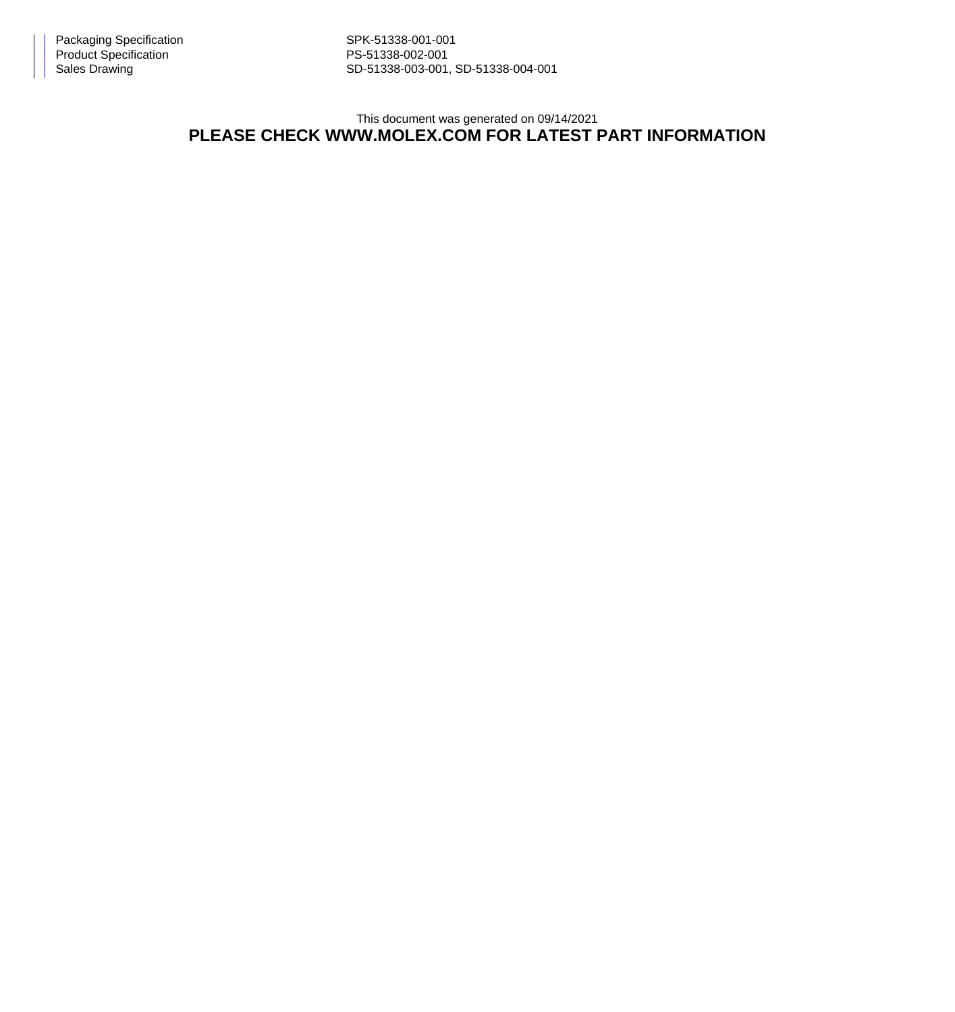Sales Drawing Sales Drawing SD-51338-003-001, SD-51338-004-001

This document was generated on 09/14/2021

## **PLEASE CHECK WWW.MOLEX.COM FOR LATEST PART INFORMATION**